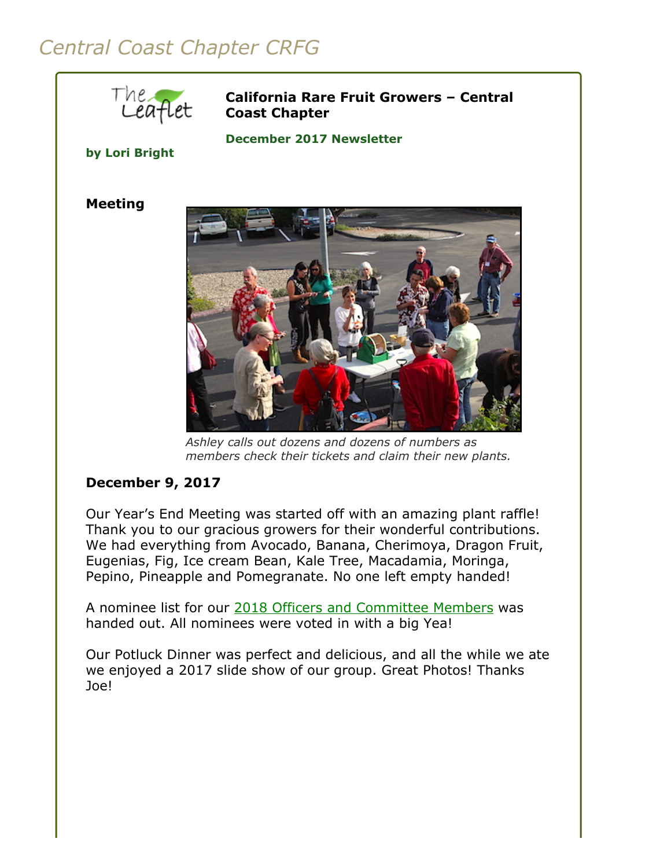# *Central Coast Chapter CRFG*



**California Rare Fruit Growers – Central Coast Chapter**

**December 2017 Newsletter** 

**by Lori Bright**

#### **Meeting**



*Ashley calls out dozens and dozens of numbers as members check their tickets and claim their new plants.*

## **December 9, 2017**

Our Year's End Meeting was started off with an amazing plant raffle! Thank you to our gracious growers for their wonderful contributions. We had everything from Avocado, Banana, Cherimoya, Dragon Fruit, Eugenias, Fig, Ice cream Bean, Kale Tree, Macadamia, Moringa, Pepino, Pineapple and Pomegranate. No one left empty handed!

A nominee list for our [2018 Officers and Committee Members](http://www.crfg-central.org/boardMembers.html) was handed out. All nominees were voted in with a big Yea!

Our Potluck Dinner was perfect and delicious, and all the while we ate we enjoyed a 2017 slide show of our group. Great Photos! Thanks Joe!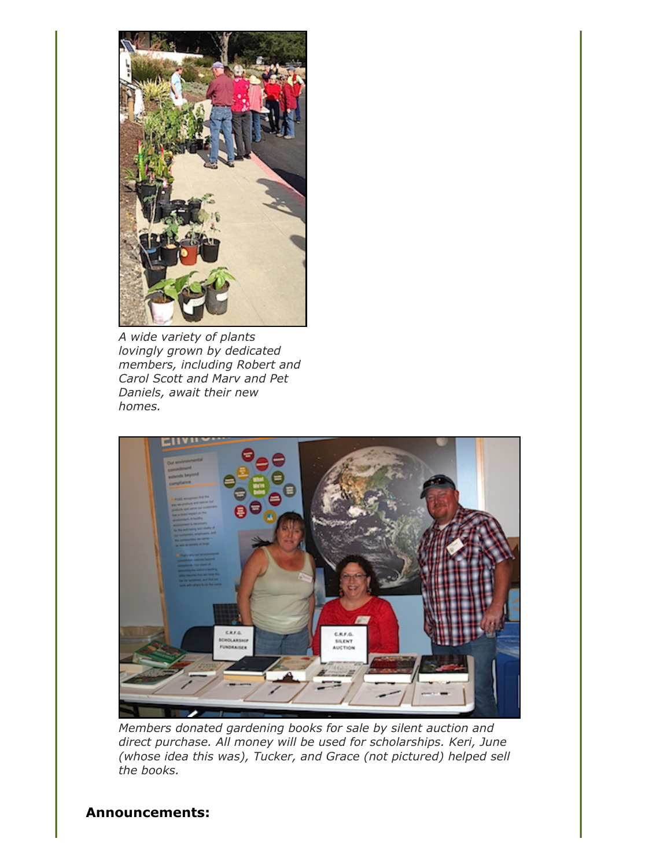

*A wide variety of plants lovingly grown by dedicated members, including Robert and Carol Scott and Marv and Pet Daniels, await their new homes.*



*Members donated gardening books for sale by silent auction and direct purchase. All money will be used for scholarships. Keri, June (whose idea this was), Tucker, and Grace (not pictured) helped sell the books.*

### **Announcements:**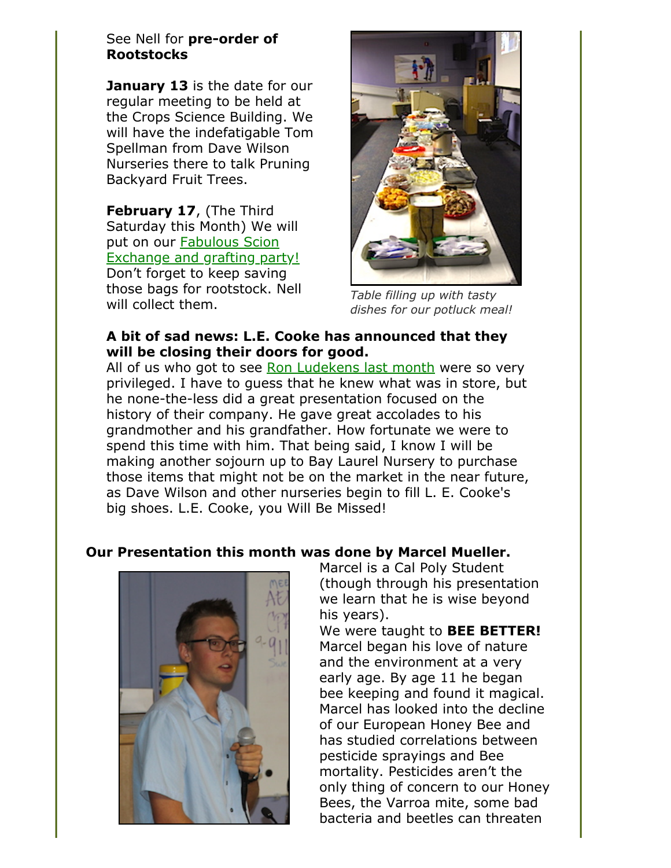#### See Nell for **pre-order of Rootstocks**

**January 13** is the date for our regular meeting to be held at the Crops Science Building. We will have the indefatigable Tom Spellman from Dave Wilson Nurseries there to talk Pruning Backyard Fruit Trees.

**February 17**, (The Third Saturday this Month) We will put on our **Fabulous Scion** [Exchange and grafting party!](http://www.crfg-central.org/scionExchange.html) Don't forget to keep saving those bags for rootstock. Nell will collect them.



*Table filling up with tasty dishes for our potluck meal!*

#### **A bit of sad news: L.E. Cooke has announced that they will be closing their doors for good.**

All of us who got to see [Ron Ludekens last month](file:///Users/daramanker/Documents/CRFG/Website/Newsletters/2017/Dec/crfgccNewsletter2017Nov.html) were so very privileged. I have to guess that he knew what was in store, but he none-the-less did a great presentation focused on the history of their company. He gave great accolades to his grandmother and his grandfather. How fortunate we were to spend this time with him. That being said, I know I will be making another sojourn up to Bay Laurel Nursery to purchase those items that might not be on the market in the near future, as Dave Wilson and other nurseries begin to fill L. E. Cooke's big shoes. L.E. Cooke, you Will Be Missed!

## **Our Presentation this month was done by Marcel Mueller.**



Marcel is a Cal Poly Student (though through his presentation we learn that he is wise beyond his years).

We were taught to **BEE BETTER!** Marcel began his love of nature and the environment at a very early age. By age 11 he began bee keeping and found it magical. Marcel has looked into the decline of our European Honey Bee and has studied correlations between pesticide sprayings and Bee mortality. Pesticides aren't the only thing of concern to our Honey Bees, the Varroa mite, some bad bacteria and beetles can threaten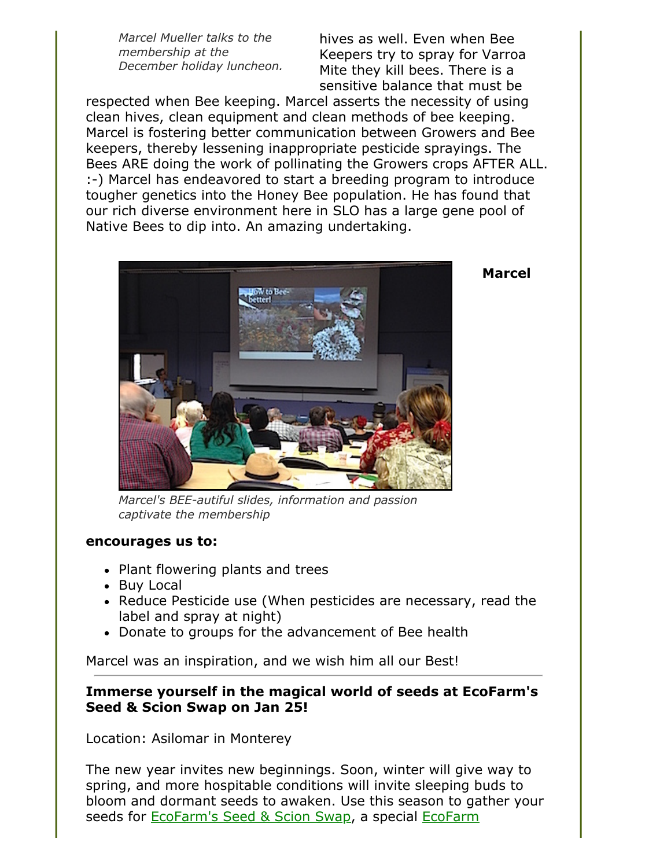*Marcel Mueller talks to the membership at the December holiday luncheon.*

hives as well. Even when Bee Keepers try to spray for Varroa Mite they kill bees. There is a sensitive balance that must be

respected when Bee keeping. Marcel asserts the necessity of using clean hives, clean equipment and clean methods of bee keeping. Marcel is fostering better communication between Growers and Bee keepers, thereby lessening inappropriate pesticide sprayings. The Bees ARE doing the work of pollinating the Growers crops AFTER ALL. :-) Marcel has endeavored to start a breeding program to introduce tougher genetics into the Honey Bee population. He has found that our rich diverse environment here in SLO has a large gene pool of Native Bees to dip into. An amazing undertaking.



**Marcel**

*Marcel's BEE-autiful slides, information and passion captivate the membership*

#### **encourages us to:**

- Plant flowering plants and trees
- Buy Local
- Reduce Pesticide use (When pesticides are necessary, read the label and spray at night)
- Donate to groups for the advancement of Bee health

Marcel was an inspiration, and we wish him all our Best!

#### **Immerse yourself in the magical world of seeds at EcoFarm's Seed & Scion Swap on Jan 25!**

Location: Asilomar in Monterey

The new year invites new beginnings. Soon, winter will give way to spring, and more hospitable conditions will invite sleeping buds to bloom and dormant seeds to awaken. Use this season to gather your [seeds for E](https://eco-farm.org/conference)[coFarm's Seed & Scion Swa](https://eco-farm.org/conference/2018/session/seed-scion-swap-830-10pm)[p, a special EcoFarm](https://eco-farm.org/conference)